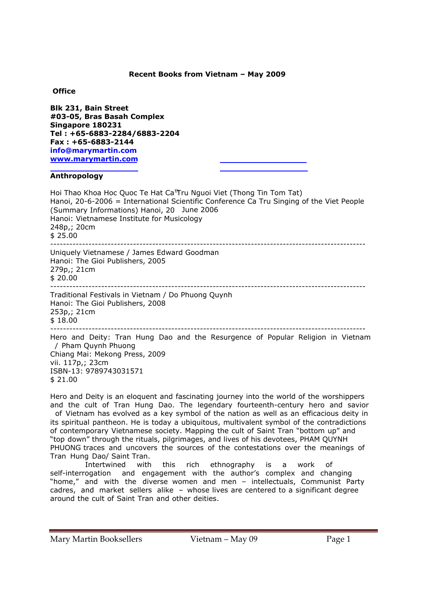# **Recent Books from Vietnam – May 2009**

## **Office**

**Blk 231, Bain Street #03-05, Bras Basah Complex Singapore 180231 Tel : +65-6883-2284/6883-2204 Fax : +65-6883-2144 info@marymartin.com www.marymartin.com**

# **Anthropology**

| Hoi Thao Khoa Hoc Quoc Te Hat Ca <sup>th</sup> ru Nguoi Viet (Thong Tin Tom Tat)<br>Hanoi, 20-6-2006 = International Scientific Conference Ca Tru Singing of the Viet People<br>(Summary Informations) Hanoi, 20 June 2006<br>Hanoi: Vietnamese Institute for Musicology<br>248p,; 20cm<br>\$25.00 |
|----------------------------------------------------------------------------------------------------------------------------------------------------------------------------------------------------------------------------------------------------------------------------------------------------|
| Uniquely Vietnamese / James Edward Goodman<br>Hanoi: The Gioi Publishers, 2005<br>279p,; 21cm<br>\$20.00                                                                                                                                                                                           |
| Traditional Festivals in Vietnam / Do Phuong Quynh<br>Hanoi: The Gioi Publishers, 2008<br>253p,; 21cm<br>\$18.00                                                                                                                                                                                   |
| Hero and Deity: Tran Hung Dao and the Resurgence of Popular Religion in Vietnam<br>/ Pham Quynh Phuong<br>Chiang Mai: Mekong Press, 2009<br>vii. 117p,; 23cm<br>ISBN-13: 9789743031571<br>\$21.00                                                                                                  |

Hero and Deity is an eloquent and fascinating journey into the world of the worshippers and the cult of Tran Hung Dao. The legendary fourteenth-century hero and savior of Vietnam has evolved as a key symbol of the nation as well as an efficacious deity in its spiritual pantheon. He is today a ubiquitous, multivalent symbol of the contradictions of contemporary Vietnamese society. Mapping the cult of Saint Tran "bottom up" and "top down" through the rituals, pilgrimages, and lives of his devotees, PHAM QUYNH PHUONG traces and uncovers the sources of the contestations over the meanings of Tran Hung Dao/ Saint Tran.

 Intertwined with this rich ethnography is a work of self-interrogation and engagement with the author's complex and changing "home," and with the diverse women and men – intellectuals, Communist Party cadres, and market sellers alike – whose lives are centered to a significant degree around the cult of Saint Tran and other deities.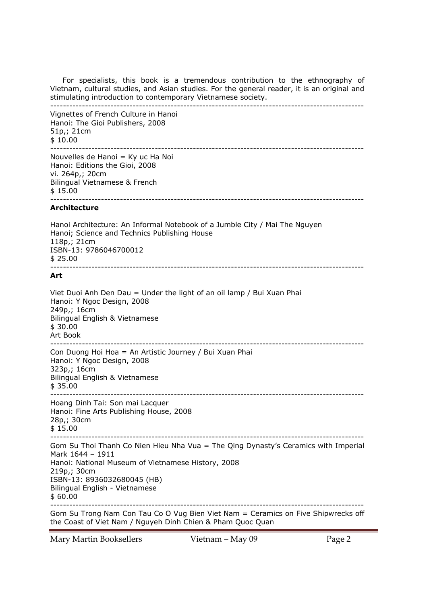For specialists, this book is a tremendous contribution to the ethnography of Vietnam, cultural studies, and Asian studies. For the general reader, it is an original and stimulating introduction to contemporary Vietnamese society. ---------------------------------------------------------------------------------------------------

Vignettes of French Culture in Hanoi Hanoi: The Gioi Publishers, 2008 51p,; 21cm \$ 10.00 ---------------------------------------------------------------------------------------------------

Nouvelles de Hanoi = Ky uc Ha Noi Hanoi: Editions the Gioi, 2008 vi. 264p,; 20cm Bilingual Vietnamese & French \$ 15.00 ---------------------------------------------------------------------------------------------------

### **Architecture**

Hanoi Architecture: An Informal Notebook of a Jumble City / Mai The Nguyen Hanoi; Science and Technics Publishing House 118p,; 21cm ISBN-13: 9786046700012  $$25.00$ ---------------------------------------------------------------------------------------------------

## **Art**

Viet Duoi Anh Den Dau = Under the light of an oil lamp / Bui Xuan Phai Hanoi: Y Ngoc Design, 2008 249p,; 16cm Bilingual English & Vietnamese \$ 30.00 Art Book --------------------------------------------------------------------------------------------------- Con Duong Hoi Hoa = An Artistic Journey / Bui Xuan Phai Hanoi: Y Ngoc Design, 2008 323p,; 16cm Bilingual English & Vietnamese \$ 35.00 --------------------------------------------------------------------------------------------------- Hoang Dinh Tai: Son mai Lacquer Hanoi: Fine Arts Publishing House, 2008 28p,; 30cm \$ 15.00 --------------------------------------------------------------------------------------------------- Gom Su Thoi Thanh Co Nien Hieu Nha Vua = The Qing Dynasty's Ceramics with Imperial Mark 1644 – 1911 Hanoi: National Museum of Vietnamese History, 2008 219p,; 30cm ISBN-13: 8936032680045 (HB) Bilingual English - Vietnamese \$ 60.00 --------------------------------------------------------------------------------------------------- Gom Su Trong Nam Con Tau Co O Vug Bien Viet Nam = Ceramics on Five Shipwrecks off the Coast of Viet Nam / Nguyeh Dinh Chien & Pham Quoc Quan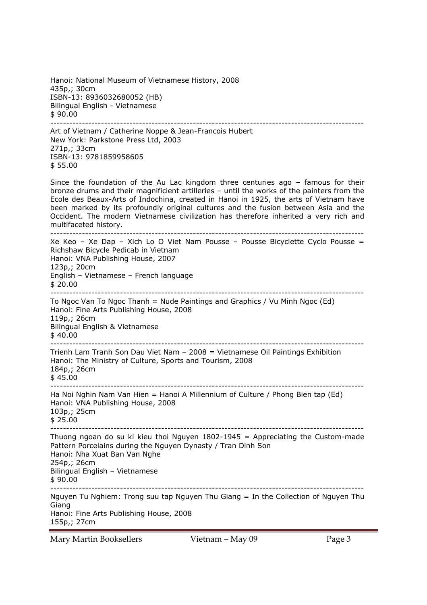Hanoi: National Museum of Vietnamese History, 2008 435p,; 30cm ISBN-13: 8936032680052 (HB) Bilingual English - Vietnamese \$ 90.00 ---------------------------------------------------------------------------------------------------

Art of Vietnam / Catherine Noppe & Jean-Francois Hubert New York: Parkstone Press Ltd, 2003 271p,; 33cm ISBN-13: 9781859958605 \$ 55.00

Since the foundation of the Au Lac kingdom three centuries ago – famous for their bronze drums and their magnificient artilleries – until the works of the painters from the Ecole des Beaux-Arts of Indochina, created in Hanoi in 1925, the arts of Vietnam have been marked by its profoundly original cultures and the fusion between Asia and the Occident. The modern Vietnamese civilization has therefore inherited a very rich and multifaceted history.

--------------------------------------------------------------------------------------------------- Xe Keo – Xe Dap – Xich Lo O Viet Nam Pousse – Pousse Bicyclette Cyclo Pousse = Richshaw Bicycle Pedicab in Vietnam Hanoi: VNA Publishing House, 2007 123p,; 20cm English – Vietnamese – French language \$ 20.00 --------------------------------------------------------------------------------------------------- To Ngoc Van To Ngoc Thanh = Nude Paintings and Graphics / Vu Minh Ngoc (Ed) Hanoi: Fine Arts Publishing House, 2008 119p,; 26cm Bilingual English & Vietnamese  $$40.00$ --------------------------------------------------------------------------------------------------- Trienh Lam Tranh Son Dau Viet Nam – 2008 = Vietnamese Oil Paintings Exhibition Hanoi: The Ministry of Culture, Sports and Tourism, 2008 184p,; 26cm \$ 45.00 --------------------------------------------------------------------------------------------------- Ha Noi Nghin Nam Van Hien = Hanoi A Millennium of Culture / Phong Bien tap (Ed) Hanoi: VNA Publishing House, 2008 103p,; 25cm \$ 25.00 --------------------------------------------------------------------------------------------------- Thuong ngoan do su ki kieu thoi Nguyen  $1802-1945$  = Appreciating the Custom-made Pattern Porcelains during the Nguyen Dynasty / Tran Dinh Son Hanoi: Nha Xuat Ban Van Nghe 254p,; 26cm Bilingual English – Vietnamese  $$90.00$ ---------------------------------------------------------------------------------------------------

Nguyen Tu Nghiem: Trong suu tap Nguyen Thu Giang = In the Collection of Nguyen Thu Giang Hanoi: Fine Arts Publishing House, 2008 155p,; 27cm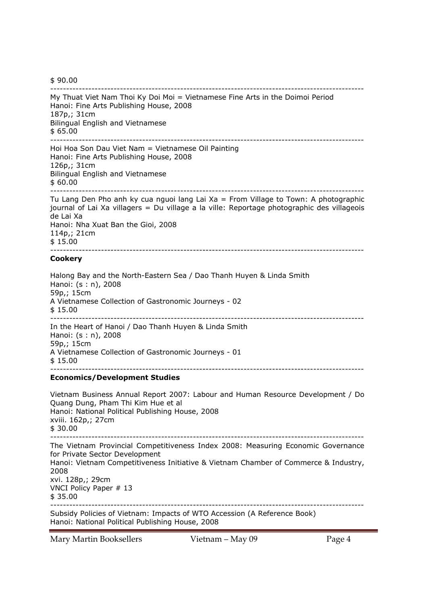\$ 90.00

--------------------------------------------------------------------------------------------------- My Thuat Viet Nam Thoi Ky Doi Moi = Vietnamese Fine Arts in the Doimoi Period Hanoi: Fine Arts Publishing House, 2008 187p,; 31cm Bilingual English and Vietnamese \$ 65.00 --------------------------------------------------------------------------------------------------- Hoi Hoa Son Dau Viet Nam = Vietnamese Oil Painting Hanoi: Fine Arts Publishing House, 2008 126p,; 31cm Bilingual English and Vietnamese \$ 60.00 --------------------------------------------------------------------------------------------------- Tu Lang Den Pho anh ky cua nguoi lang Lai Xa = From Village to Town: A photographic journal of Lai Xa villagers = Du village a la ville: Reportage photographic des villageois de Lai Xa Hanoi: Nha Xuat Ban the Gioi, 2008 114p,; 21cm \$ 15.00 --------------------------------------------------------------------------------------------------- **Cookery**  Halong Bay and the North-Eastern Sea / Dao Thanh Huyen & Linda Smith Hanoi: (s : n), 2008 59p,; 15cm A Vietnamese Collection of Gastronomic Journeys - 02 \$ 15.00 --------------------------------------------------------------------------------------------------- In the Heart of Hanoi / Dao Thanh Huyen & Linda Smith Hanoi: (s : n), 2008 59p,; 15cm A Vietnamese Collection of Gastronomic Journeys - 01 \$ 15.00 --------------------------------------------------------------------------------------------------- **Economics/Development Studies**  Vietnam Business Annual Report 2007: Labour and Human Resource Development / Do Quang Dung, Pham Thi Kim Hue et al Hanoi: National Political Publishing House, 2008 xviii. 162p,; 27cm \$ 30.00 --------------------------------------------------------------------------------------------------- The Vietnam Provincial Competitiveness Index 2008: Measuring Economic Governance for Private Sector Development Hanoi: Vietnam Competitiveness Initiative & Vietnam Chamber of Commerce & Industry, 2008 xvi. 128p,; 29cm VNCI Policy Paper # 13 \$ 35.00

--------------------------------------------------------------------------------------------------- Subsidy Policies of Vietnam: Impacts of WTO Accession (A Reference Book) Hanoi: National Political Publishing House, 2008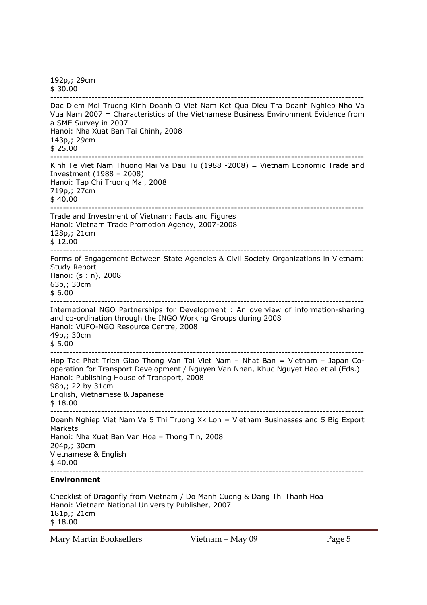192p,; 29cm \$ 30.00 --------------------------------------------------------------------------------------------------- Dac Diem Moi Truong Kinh Doanh O Viet Nam Ket Qua Dieu Tra Doanh Nghiep Nho Va Vua Nam 2007 = Characteristics of the Vietnamese Business Environment Evidence from a SME Survey in 2007 Hanoi: Nha Xuat Ban Tai Chinh, 2008 143p,; 29cm \$ 25.00 --------------------------------------------------------------------------------------------------- Kinh Te Viet Nam Thuong Mai Va Dau Tu (1988 -2008) = Vietnam Economic Trade and Investment (1988 – 2008) Hanoi: Tap Chi Truong Mai, 2008 719p,; 27cm \$ 40.00 --------------------------------------------------------------------------------------------------- Trade and Investment of Vietnam: Facts and Figures Hanoi: Vietnam Trade Promotion Agency, 2007-2008 128p,; 21cm \$ 12.00 --------------------------------------------------------------------------------------------------- Forms of Engagement Between State Agencies & Civil Society Organizations in Vietnam: Study Report Hanoi: (s : n), 2008 63p,; 30cm  $$6.00$ --------------------------------------------------------------------------------------------------- International NGO Partnerships for Development : An overview of information-sharing and co-ordination through the INGO Working Groups during 2008 Hanoi: VUFO-NGO Resource Centre, 2008 49p,; 30cm \$ 5.00 --------------------------------------------------------------------------------------------------- Hop Tac Phat Trien Giao Thong Van Tai Viet Nam – Nhat Ban = Vietnam – Japan Cooperation for Transport Development / Nguyen Van Nhan, Khuc Nguyet Hao et al (Eds.) Hanoi: Publishing House of Transport, 2008 98p,; 22 by 31cm English, Vietnamese & Japanese \$ 18.00 --------------------------------------------------------------------------------------------------- Doanh Nghiep Viet Nam Va 5 Thi Truong Xk Lon = Vietnam Businesses and 5 Big Export Markets Hanoi: Nha Xuat Ban Van Hoa – Thong Tin, 2008 204p,; 30cm Vietnamese & English  $$40.00$ --------------------------------------------------------------------------------------------------- **Environment**  Checklist of Dragonfly from Vietnam / Do Manh Cuong & Dang Thi Thanh Hoa Hanoi: Vietnam National University Publisher, 2007 181p,; 21cm

\$ 18.00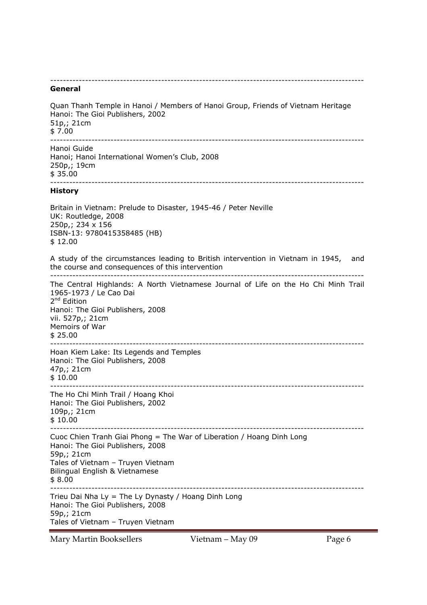# ---------------------------------------------------------------------------------------------------

#### **General**

Quan Thanh Temple in Hanoi / Members of Hanoi Group, Friends of Vietnam Heritage Hanoi: The Gioi Publishers, 2002 51p,; 21cm  $$7.00$ --------------------------------------------------------------------------------------------------- Hanoi Guide Hanoi; Hanoi International Women's Club, 2008 250p,; 19cm \$ 35.00 --------------------------------------------------------------------------------------------------- **History**  Britain in Vietnam: Prelude to Disaster, 1945-46 / Peter Neville UK: Routledge, 2008 250p,; 234 x 156 ISBN-13: 9780415358485 (HB) \$ 12.00 A study of the circumstances leading to British intervention in Vietnam in 1945, and the course and consequences of this intervention --------------------------------------------------------------------------------------------------- The Central Highlands: A North Vietnamese Journal of Life on the Ho Chi Minh Trail 1965-1973 / Le Cao Dai 2<sup>nd</sup> Edition Hanoi: The Gioi Publishers, 2008 vii. 527p,; 21cm Memoirs of War  $$25.00$ --------------------------------------------------------------------------------------------------- Hoan Kiem Lake: Its Legends and Temples Hanoi: The Gioi Publishers, 2008 47p,; 21cm \$ 10.00 --------------------------------------------------------------------------------------------------- The Ho Chi Minh Trail / Hoang Khoi Hanoi: The Gioi Publishers, 2002 109p,; 21cm \$ 10.00 --------------------------------------------------------------------------------------------------- Cuoc Chien Tranh Giai Phong = The War of Liberation / Hoang Dinh Long Hanoi: The Gioi Publishers, 2008 59p,; 21cm Tales of Vietnam – Truyen Vietnam Bilingual English & Vietnamese \$ 8.00 --------------------------------------------------------------------------------------------------- Trieu Dai Nha Ly = The Ly Dynasty / Hoang Dinh Long Hanoi: The Gioi Publishers, 2008 59p,; 21cm Tales of Vietnam – Truyen Vietnam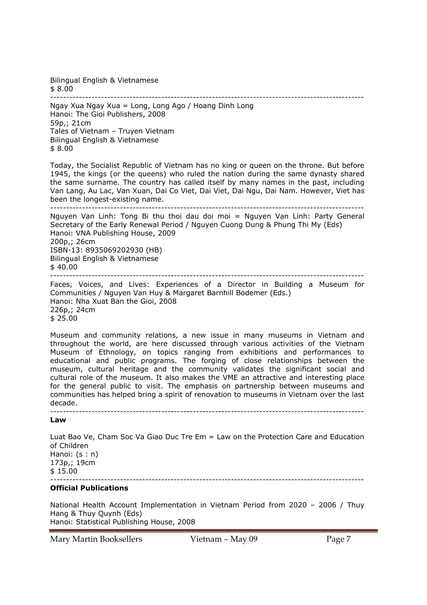Bilingual English & Vietnamese \$ 8.00

---------------------------------------------------------------------------------------------------

Ngay Xua Ngay Xua = Long, Long Ago / Hoang Dinh Long Hanoi: The Gioi Publishers, 2008 59p,; 21cm Tales of Vietnam – Truyen Vietnam Bilingual English & Vietnamese \$ 8.00

Today, the Socialist Republic of Vietnam has no king or queen on the throne. But before 1945, the kings (or the queens) who ruled the nation during the same dynasty shared the same surname. The country has called itself by many names in the past, including Van Lang, Au Lac, Van Xuan, Dai Co Viet, Dai Viet, Dai Ngu, Dai Nam. However, Viet has been the longest-existing name.

--------------------------------------------------------------------------------------------------- Nguyen Van Linh: Tong Bi thu thoi dau doi moi = Nguyen Van Linh: Party General Secretary of the Early Renewal Period / Nguyen Cuong Dung & Phung Thi My (Eds) Hanoi: VNA Publishing House, 2009 200p,; 26cm ISBN-13: 8935069202930 (HB) Bilingual English & Vietnamese  $$40.00$ --------------------------------------------------------------------------------------------------- Faces, Voices, and Lives: Experiences of a Director in Building a Museum for

Communities / Nguyen Van Huy & Margaret Barnhill Bodemer (Eds.) Hanoi: Nha Xuat Ban the Gioi, 2008 226p,; 24cm \$ 25.00

Museum and community relations, a new issue in many museums in Vietnam and throughout the world, are here discussed through various activities of the Vietnam Museum of Ethnology, on topics ranging from exhibitions and performances to educational and public programs. The forging of close relationships between the museum, cultural heritage and the community validates the significant social and cultural role of the museum. It also makes the VME an attractive and interesting place for the general public to visit. The emphasis on partnership between museums and communities has helped bring a spirit of renovation to museums in Vietnam over the last decade.

#### --------------------------------------------------------------------------------------------------- **Law**

Luat Bao Ve, Cham Soc Va Giao Duc Tre Em = Law on the Protection Care and Education of Children Hanoi: (s : n) 173p,; 19cm \$ 15.00 ---------------------------------------------------------------------------------------------------

### **Official Publications**

National Health Account Implementation in Vietnam Period from 2020 – 2006 / Thuy Hang & Thuy Quynh (Eds) Hanoi: Statistical Publishing House, 2008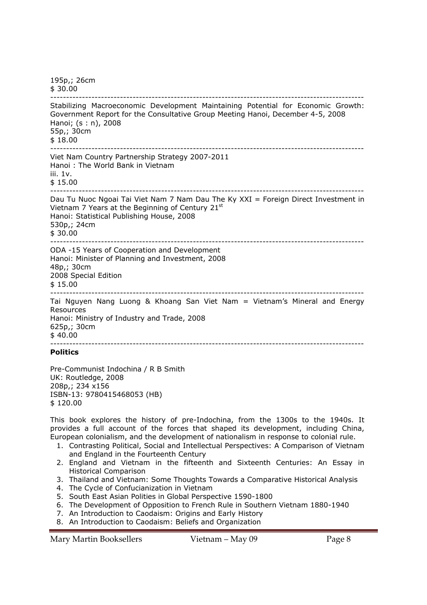195p,; 26cm \$ 30.00 --------------------------------------------------------------------------------------------------- Stabilizing Macroeconomic Development Maintaining Potential for Economic Growth: Government Report for the Consultative Group Meeting Hanoi, December 4-5, 2008 Hanoi; (s : n), 2008 55p,; 30cm \$ 18.00 --------------------------------------------------------------------------------------------------- Viet Nam Country Partnership Strategy 2007-2011 Hanoi : The World Bank in Vietnam iii. 1v. \$ 15.00 --------------------------------------------------------------------------------------------------- Dau Tu Nuoc Ngoai Tai Viet Nam 7 Nam Dau The Ky XXI = Foreign Direct Investment in Vietnam 7 Years at the Beginning of Century 21st Hanoi: Statistical Publishing House, 2008 530p,; 24cm \$ 30.00 --------------------------------------------------------------------------------------------------- ODA -15 Years of Cooperation and Development Hanoi: Minister of Planning and Investment, 2008 48p,; 30cm 2008 Special Edition \$ 15.00 --------------------------------------------------------------------------------------------------- Tai Nguyen Nang Luong & Khoang San Viet Nam = Vietnam's Mineral and Energy Resources Hanoi: Ministry of Industry and Trade, 2008 625p,; 30cm  $$40.00$ ---------------------------------------------------------------------------------------------------

**Politics** 

Pre-Communist Indochina / R B Smith UK: Routledge, 2008 208p,; 234 x156 ISBN-13: 9780415468053 (HB) \$ 120.00

This book explores the history of pre-Indochina, from the 1300s to the 1940s. It provides a full account of the forces that shaped its development, including China, European colonialism, and the development of nationalism in response to colonial rule.

- 1. Contrasting Political, Social and Intellectual Perspectives: A Comparison of Vietnam and England in the Fourteenth Century
- 2. England and Vietnam in the fifteenth and Sixteenth Centuries: An Essay in Historical Comparison
- 3. Thailand and Vietnam: Some Thoughts Towards a Comparative Historical Analysis
- 4. The Cycle of Confucianization in Vietnam
- 5. South East Asian Polities in Global Perspective 1590-1800
- 6. The Development of Opposition to French Rule in Southern Vietnam 1880-1940
- 7. An Introduction to Caodaism: Origins and Early History
- 8. An Introduction to Caodaism: Beliefs and Organization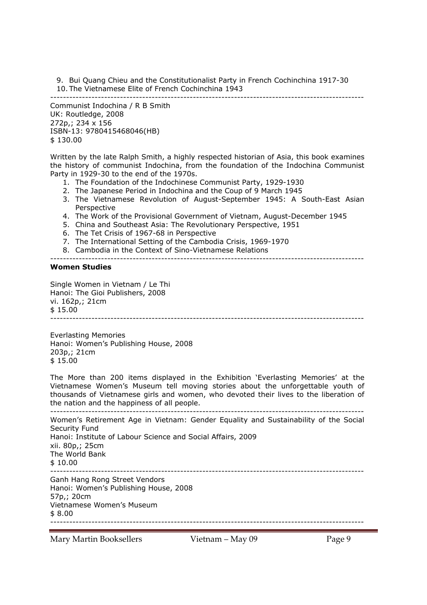9. Bui Quang Chieu and the Constitutionalist Party in French Cochinchina 1917-30 10. The Vietnamese Elite of French Cochinchina 1943

--------------------------------------------------------------------------------------------------- Communist Indochina / R B Smith UK: Routledge, 2008 272p,; 234 x 156 ISBN-13: 9780415468046(HB) \$ 130.00

Written by the late Ralph Smith, a highly respected historian of Asia, this book examines the history of communist Indochina, from the foundation of the Indochina Communist Party in 1929-30 to the end of the 1970s.

- 1. The Foundation of the Indochinese Communist Party, 1929-1930
- 2. The Japanese Period in Indochina and the Coup of 9 March 1945
- 3. The Vietnamese Revolution of August-September 1945: A South-East Asian Perspective
- 4. The Work of the Provisional Government of Vietnam, August-December 1945
- 5. China and Southeast Asia: The Revolutionary Perspective, 1951
- 6. The Tet Crisis of 1967-68 in Perspective
- 7. The International Setting of the Cambodia Crisis, 1969-1970
- 8. Cambodia in the Context of Sino-Vietnamese Relations

---------------------------------------------------------------------------------------------------

## **Women Studies**

Single Women in Vietnam / Le Thi Hanoi: The Gioi Publishers, 2008 vi. 162p,; 21cm \$ 15.00 ---------------------------------------------------------------------------------------------------

Everlasting Memories Hanoi: Women's Publishing House, 2008 203p,; 21cm \$ 15.00

The More than 200 items displayed in the Exhibition 'Everlasting Memories' at the Vietnamese Women's Museum tell moving stories about the unforgettable youth of thousands of Vietnamese girls and women, who devoted their lives to the liberation of the nation and the happiness of all people.

--------------------------------------------------------------------------------------------------- Women's Retirement Age in Vietnam: Gender Equality and Sustainability of the Social Security Fund Hanoi: Institute of Labour Science and Social Affairs, 2009 xii. 80p,; 25cm The World Bank  $$10.00$ --------------------------------------------------------------------------------------------------- Ganh Hang Rong Street Vendors Hanoi: Women's Publishing House, 2008 57p,; 20cm

Vietnamese Women's Museum \$ 8.00 ---------------------------------------------------------------------------------------------------